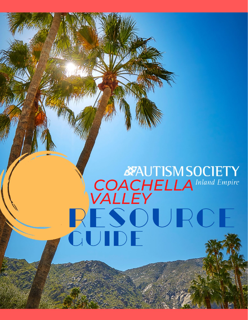# **EXAUTISM SOCIETY**<br>COACHELLA Inland Empire RESOURCE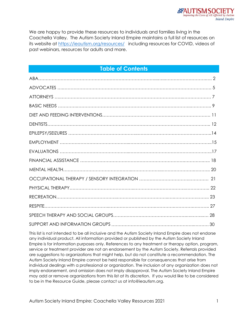We are happy to provide these resources to individuals and families living in the Coachella Valley. The Autism Society Inland Empire maintains a full list of resources on its website at<https://ieautism.org/resources/>including resources for COVID, videos of past webinars, resources for adults and more.

# **Table of Contents**

This list is not intended to be all inclusive and the Autism Society Inland Empire does not endorse any individual product. All information provided or published by the Autism Society Inland Empire is for information purposes only. References to any treatment or therapy option, program, service or treatment provider are not an endorsement by the Autism Society. Referrals provided are suggestions to organizations that might help, but do not constitute a recommendation. The Autism Society Inland Empire cannot be held responsible for consequences that arise from individual dealings with a professional or organization. The inclusion of any organization does not imply endorsement, and omission does not imply disapproval. The Autism Society Inland Empire may add or remove organizations from this list at its discretion. If you would like to be considered to be in the Resource Guide, please contact us at info@ieautism.org.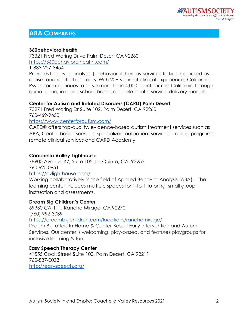# **ABA COMPANIES**

#### **360behavioralhealth**

73321 Fred Waring Drive Palm Desert CA 92260 <https://360behavioralhealth.com/>

1-833-227-3454

Provides behavior analysis | behavioral therapy services to kids impacted by autism and related disorders. With 20+ years of clinical experience, California Psychcare continues to serve more than 4,000 clients across California through our in home, in clinic, school based and tele-health service delivery models.

## **Center for Autism and Related Disorders (CARD) Palm Desert**

73271 Fred Waring Dr Suite 102, Palm Desert, CA 92260 760-469-9650

<https://www.centerforautism.com/>

CARD® offers top-quality, evidence-based autism treatment services such as ABA, Center-based services, specialized outpatient services, training programs, remote clinical services and CARD Academy.

#### **Coachella Valley Lighthouse**

78900 Avenue 47, Suite 105, La Quinta, CA, 92253 [760.625.0951](tel:1.760.625.0951) <https://cvlighthouse.com/>

Working collaboratively in the field of Applied Behavior Analysis (ABA). The learning center includes multiple spaces for 1-to-1 tutoring, small group instruction and assessments.

#### **Dream Big Children's Center**

69930 CA-111, Rancho Mirage, CA 92270 (760) 992-3039 <https://dreambigchildren.com/locations/ranchomirage/>

Dream Big offers In-Home & Center-Based Early Intervention and Autism Services. Our center is welcoming, play-based, and features playgroups for inclusive learning & fun.

## **Easy Speech Therapy Center**

41555 Cook Street Suite 100, Palm Desert, CA 92211 760-837-0033 <http://easyspeech.org/>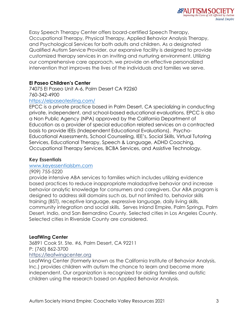Easy Speech Therapy Center offers board-certified Speech Therapy, Occupational Therapy, Physical Therapy, Applied Behavior Analysis Therapy, and Psychological Services for both adults and children. As a designated Qualified Autism Service Provider, our expansive facility is designed to provide customized therapy services in an inviting and nurturing environment. Utilizing our comprehensive care approach, we provide an effective personalized intervention that improves the lives of the individuals and families we serve.

# **El Paseo Children's Center**

74075 El Paseo Unit A-6, Palm Desert CA 92260 760-342-4900

#### <https://elpaseotesting.com/>

EPCC is a private practice based in Palm Desert, CA specializing in conducting private, independent, and school-based educational evaluations. EPCC is also a Non Public Agency (NPA) approved by the California Department of Education as a provider of special education related services on a contracted basis to provide IEEs (Independent Educational Evaluations). Psycho-Educational Assessments, School Counseling, IEE's, Social Skills, Virtual Tutoring Services, Educational Therapy, Speech & Language, ADHD Coaching, Occupational Therapy Services, BCBA Services, and Assistive Technology.

#### **Key Essentials**

#### [www.keyessentialsbm.com](http://www.keyessentialsbm.com/)

#### (909) 755-5220

provide intensive ABA services to families which includes utilizing evidence based practices to reduce inappropriate maladaptive behavior and increase behavior analytic knowledge for consumers and caregivers. Our ABA program is designed to address skill domains such as, but not limited to, behavior skills training (BST), receptive language, expressive language, daily living skills, community integration and social skills. Serves Inland Empire, Palm Springs, Palm Desert, Indio, and San Bernardino County. Selected cities in Los Angeles County. Selected cities in Riverside County are considered.

#### **LeafWing Center**

36891 Cook St. Ste. #6, Palm Desert, CA 92211 P: (760) [862-3700](tel:760%20862%203700) [https://leafwingcenter.org](https://leafwingcenter.org/)

LeafWing Center (formerly known as the California Institute of Behavior Analysis, Inc.) provides children with autism the chance to learn and become more independent. Our organization is recognized for aiding families and autistic children using the research based on Applied Behavior Analysis.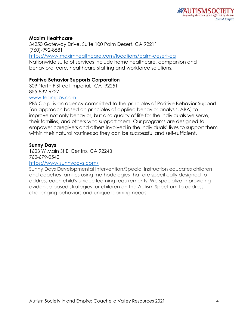# **Maxim Healthcare**

34250 Gateway Drive, Suite 100 Palm Desert, CA 92211 (760)-992-8581 <https://www.maximhealthcare.com/locations/palm-desert-ca> Nationwide suite of services include home healthcare, companion and behavioral care, healthcare staffing and workforce solutions.

# **Positive Behavior Supports Corporation**

309 North F Street Imperial, CA 92251 855-832-6727

#### [www.teampbs.com](http://www.teampbs.com/)

PBS Corp. is an agency committed to the principles of Positive Behavior Support (an approach based on principles of applied behavior analysis, ABA) to improve not only behavior, but also quality of life for the individuals we serve, their families, and others who support them. Our programs are designed to empower caregivers and others involved in the individuals' lives to support them within their natural routines so they can be successful and self-sufficient.

# **Sunny Days**

1603 W Main St El Centro, CA 92243 760-679-0540

## <https://www.sunnydays.com/>

Sunny Days Developmental Intervention/Special Instruction educates children and coaches families using methodologies that are specifically designed to address each child's unique learning requirements. We specialize in providing evidence-based strategies for children on the Autism Spectrum to address challenging behaviors and unique learning needs.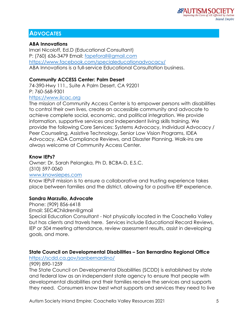# **ADVOCATES**

# **ABA Innovations**

Imari Nicoloff, Ed.D (Educational Consultant) P: (760) 636-3479 Email: [fapeforall@gmail.com](mailto:fapeforall@gmail.com) <https://www.facebook.com/specialeducationadvocacy/> ABA Innovations is a full-service Educational Consultation business.

# **Community ACCESS Center: Palm Desert**

74-390-Hwy 111., Suite A Palm Desert, CA 92201 P: 760-568-9301

#### [https://www.ilcac.org](https://www.ilcac.org/)

The mission of Community Access Center is to empower persons with disabilities to control their own lives, create an accessible community and advocate to achieve complete social, economic, and political integration. We provide information, supportive services and independent living skills training. We provide the following Core Services: Systems Advocacy, Individual Advocacy / Peer Counseling, Assistive Technology, Senior Low Vision Programs, IDEA Advocacy, ADA Compliance Reviews, and Disaster Planning. Walk-ins are always welcome at Community Access Center.

## **Know IEPs?**

Owner: Dr. Sarah Pelangka, Ph D, BCBA-D, E.S.C. (310) 597-0060 [www.knowsiepes.com](http://www.knowsiepes.com/)

Know IEPs? mission is to ensure a collaborative and trusting experience takes place between families and the district, allowing for a positive IEP experience.

## **Sandra Marzullo, Advocate**

Phone: (909) 856-6418

Email: SEC4Children@gmail

Special Education Consultant - Not physically located in the Coachella Valley but has clients and travels here. Services include Educational Record Reviews, IEP or 504 meeting attendance, review assessment results, assist in developing goals, and more.

# **State Council on Developmental Disabilities – San Bernardino Regional Office**

<https://scdd.ca.gov/sanbernardino/>

(909) 890-1259

The State Council on Developmental Disabilities (SCDD) is established by state and federal law as an independent state agency to ensure that people with developmental disabilities and their families receive the services and supports they need. Consumers know best what supports and services they need to live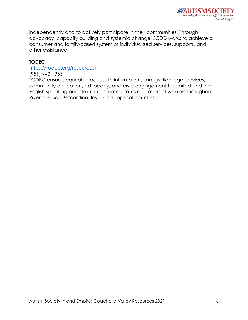

independently and to actively participate in their communities. Through advocacy, capacity building and systemic change, SCDD works to achieve a consumer and family-based system of individualized services, supports, and other assistance.

#### **TODEC**

#### <https://todec.org/resources/>

(951) 943-1955 TODEC ensures equitable access to information, immigration legal services, community education, advocacy, and civic engagement for limited and non-English speaking people including immigrants and migrant workers throughout Riverside, San Bernardino, Inyo, and Imperial counties.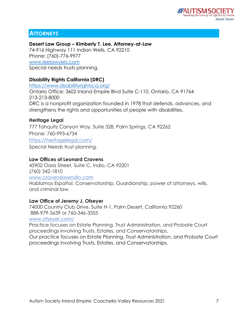# **ATTORNEYS**

# **Desert Law Group – Kimberly T. Lee, Attorney-at-Law**

74-916 Highway 111 Indian Wells, CA 92210 Phone: (760)-776-9977 [www.leelawyers.com](http://www.leelawyers.com/) Special needs trusts planning.

# **Disability Rights California (DRC)**

<https://www.disabilityrightsca.org/> Ontario Office: 3602 Inland Empire Blvd Suite C-110, Ontario, CA 91764 213-213-8000 DRC is a nonprofit organization founded in 1978 that defends, advances, and strengthens the rights and opportunities of people with disabilities.

# **Heritage Legal**

[777 Tahquitz Canyon Way, Suite 328, Palm Springs, CA 92262](x-apple-data-detectors://5/0)  Phone: [760-993-6734](tel:760-993-6734) <https://heritagelegal.com/> Special Needs trust planning.

# **Law Offices of Leonard Cravens**

[45902 Oasis Street, Suite C, Indio, CA 92201](x-apple-data-detectors://4/0) [\(760\) 342-1810](tel:(760)%20342-1810) [www.cravenslawindio.com](http://www.cravenslawindio.com/) Hablamos Español. Conservatorship, Guardianship, power of attorneys, wills, and criminal law.

## **Law Office of Jeremy J. Ofseyer**

[74000 Country Club Drive, Suite H-1, Palm Desert, California 92260](x-apple-data-detectors://6/0) [888-979-5639](tel:888-979-5639) or [760-346-3355](tel:760-346-3355)

[www.ofseyer.com/](http://www.ofseyer.com/)

Practice focuses on Estate Planning, Trust Administration, and Probate Court proceedings involving Trusts, Estates, and Conservatorships. Our practice focuses on Estate Planning, Trust Administration, and Probate Court proceedings involving Trusts, Estates, and Conservatorships.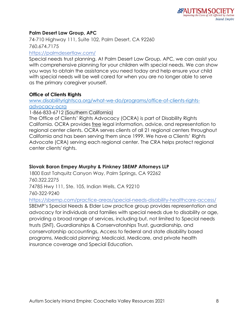# **Palm Desert Law Group, APC**

[74-710 Highway 111, Suite 102, Palm Desert, CA 92260](x-apple-data-detectors://7/1) [760.674.7175](tel:760.674.7175)

<https://palmdesertlaw.com/>

Special needs trust planning. At Palm Desert Law Group, APC, we can assist you with comprehensive planning for your children with special needs. We can show you ways to obtain the assistance you need today and help ensure your child with special needs will be well cared for when you are no longer able to serve as the primary caregiver yourself.

#### **Office of Clients Rights**

[www.disabilityrightsca.org/what-we-do/programs/office-of-clients-rights](http://www.disabilityrightsca.org/what-we-do/programs/office-of-clients-rights-advocacy-ocra)[advocacy-ocra](http://www.disabilityrightsca.org/what-we-do/programs/office-of-clients-rights-advocacy-ocra)

1-866-833-6712 (Southern California)

The Office of Clients' Rights Advocacy (OCRA) is part of Disability Rights California. OCRA provides free legal information, advice, and representation to regional center clients. OCRA serves clients of all 21 regional centers throughout California and has been serving them since 1999. We have a Clients' Rights Advocate (CRA) serving each regional center. The CRA helps protect regional center clients' rights.

# **Slovak Baron Empey Murphy & Pinkney SBEMP Attorneys LLP**

[1800 East Tahquitz Canyon Way, Palm Springs, CA 92262](x-apple-data-detectors://1/0) [760.322.2275](tel:760.322.2275) [74785 Hwy 111, Ste. 105, Indian Wells, CA 92210](x-apple-data-detectors://2/0) [760-322-9240](tel:760-322-9240)

<https://sbemp.com/practice-areas/special-needs-disability-healthcare-access/> SBEMP's Special Needs & Elder Law practice group provides representation and advocacy for individuals and families with special needs due to disability or age, providing a broad range of services, including but, not limited to Special needs trusts (SNT), Guardianships & Conservatorships Trust, guardianship, and conservatorship accountings, Access to federal and state disability based programs, Medicaid planning; Medicaid, Medicare, and private health insurance coverage and Special Education.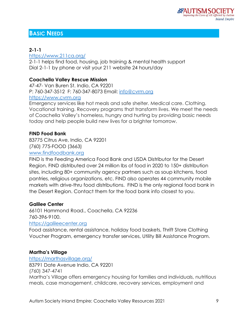# **BASIC NEEDS**

# **2-1-1**

<https://www.211ca.org/>

2-1-1 helps find food, housing, job training & mental health support Dial 2-1-1 by phone or visit your 211 website 24 hours/day

# **Coachella Valley Rescue Mission**

47-47- Van Buren St. Indio, CA 92201 P: 760-347-3512 F: 760-347-8073 Email: [info@cvrm.org](mailto:info@cvrm.org) [https://www.cvrm.org](https://www.cvrm.org/)

Emergency services like hot meals and safe shelter. Medical care. Clothing. Vocational training. Recovery programs that transform lives. We meet the needs of Coachella Valley's homeless, hungry and hurting by providing basic needs today and help people build new lives for a brighter tomorrow.

# **FIND Food Bank**

83775 Citrus Ave, Indio, CA 92201 (760) 775-FOOD (3663)

[www.findfoodbank.org](http://www.findfoodbank.org/)

FIND is the Feeding America Food Bank and USDA Distributor for the Desert Region. FIND distributed over 24 million lbs of food in 2020 to 150+ distribution sites, including 80+ community agency partners such as soup kitchens, food pantries, religious organizations, etc. FIND also operates 44 community mobile markets with drive-thru food distributions. FIND is the only regional food bank in the Desert Region. Contact them for the food bank info closest to you.

# **Galilee Center**

66101 Hammond Road., Coachella, CA 92236 760-396-9100.

## [https://galileecenter.org](https://galileecenter.org/)

Food assistance, rental assistance, holiday food baskets, Thrift Store Clothing Voucher Program, emergency transfer services, Utility Bill Assistance Program.

# **Martha's Village**

<https://marthasvillage.org/> 83791 Date Avenue Indio, CA 92201 [\(760\) 347-4741](tel:(760)%20347-4741) Martha's Village offers emergency housing for families and individuals, nutritious meals, case management, [childcare,](https://marthasvillage.org/programs/childrens-services/) recovery services, employment and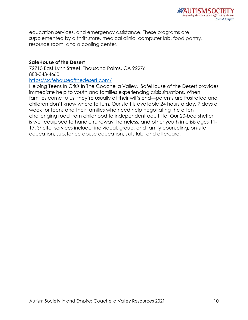education services, and emergency assistance. These programs are supplemented by a thrift store, medical clinic, computer lab, food pantry, resource room, and a cooling center.

## **SafeHouse of the Desert**

72710 East Lynn Street, Thousand Palms, CA 92276 888-343-4660

<https://safehouseofthedesert.com/>

Helping Teens In Crisis In The Coachella Valley.SafeHouse of the Desert provides immediate help to youth and families experiencing crisis situations. When families come to us, they're usually at their wit's end—parents are frustrated and children don't know where to turn. Our staff is available 24 hours a day, 7 days a week for teens and their families who need help negotiating the often challenging road from childhood to independent adult life. Our 20-bed shelter is well equipped to handle runaway, homeless, and other youth in crisis ages 11- 17. Shelter services include; individual, group, and family counseling, on-site education, substance abuse education, [skills lab,](https://safehouseofthedesert.com/skillslab/) and aftercare.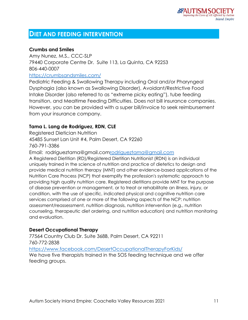# **DIET AND FEEDING INTERVENTION**

# **Crumbs and Smiles**

Amy Nunez, M.S., CCC-SLP 79440 Corporate Centre Dr. Suite 113, La Quinta, CA 92253 806-440-0007 <https://crumbsandsmiles.com/>

Pediatric Feeding & Swallowing Therapy including Oral and/or Pharyngeal Dysphagia (also known as Swallowing Disorder), Avoidant/Restrictive Food Intake Disorder (also referred to as "extreme picky eating"), tube feeding transition, and Mealtime Feeding Difficulties. Does not bill insurance companies. However, you can be provided with a super bill/invoice to seek reimbursement from your insurance company.

# **Tama L. Lang de Rodriguez, RDN, CLE**

Registered Dietician Nutrition 45485 Sunset Lan Unit #4, Palm Desert, CA 92260 760-791-3386

Email: rodrigueztama@gmail.co[mrodrigueztama@gmail.com](mailto:rodrigueztama@gmail.com)

A Registered Dietitian (RD)/Registered Dietitian Nutritionist (RDN) is an individual uniquely trained in the science of nutrition and practice of dietetics to design and provide medical nutrition therapy (MNT) and other evidence-based applications of the Nutrition Care Process (NCP) that exemplify the profession's systematic approach to providing high quality nutrition care. Registered dietitians provide MNT for the purpose of disease prevention or management, or to treat or rehabilitate an illness, injury, or condition, with the use of specific, indicated physical and cognitive nutrition care services comprised of one or more of the following aspects of the NCP: nutrition assessment/reassessment, nutrition diagnosis, nutrition intervention (e.g., nutrition counseling, therapeutic diet ordering, and nutrition education) and nutrition monitoring and evaluation.

# **Desert Occupational Therapy**

77564 Country Club Dr. Suite 368B, Palm Desert, CA 92211 760-772-2838

<https://www.facebook.com/DesertOccupationalTherapyForKids/>

We have five therapists trained in the SOS feeding technique and we offer feeding groups.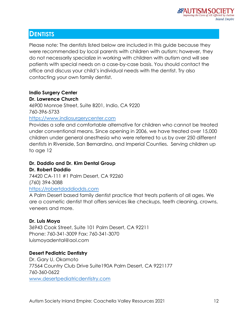

# **DENTISTS**

Please note: The dentists listed below are included in this guide because they were recommended by local parents with children with autism; however, they do not necessarily specialize in working with children with autism and will see patients with special needs on a case-by-case basis. You should contact the office and discuss your child's individual needs with the dentist. Try also contacting your own family dentist.

# **Indio Surgery Center**

#### **Dr. Lawrence Church**

46900 Monroe Street, Suite B201, Indio, CA 9220 760-396-5733

## [https://www.indiosurgerycenter.com](https://www.indiosurgerycenter.com/)

Provides a safe and comfortable alternative for children who cannot be treated under conventional means. Since opening in 2006, we have treated over 15,000 children under general anesthesia who were referred to us by over 250 different dentists in Riverside, San Bernardino, and Imperial Counties. Serving children up to age 12

#### **Dr. Daddio and Dr. Kim Dental Group Dr. Robert Daddio**

74420 CA-111 #1 Palm Desert, CA 92260 (760) 394-3088 [https://robertdaddiodds.com](https://robertdaddiodds.com/)

A Palm Desert based family dentist practice that treats patients of all ages. We are a cosmetic dentist that offers services like checkups, teeth cleaning, crowns, veneers and more.

# **Dr. Luis Moya**

36943 Cook Street, Suite 101 Palm Desert, CA 92211 Phone: 760-341-3009 Fax: 760-341-3070 luismoyadental@aol.com

# **Desert Pediatric Dentistry**

Dr. Gary U. Okamoto 77564 Country Club Drive Suite190A Palm Desert, CA 9221177 760-360-0622 [www.desertpediatricdentistry.com](http://www.desertpediatricdentistry.com/)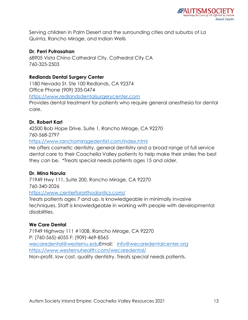Serving children in Palm Desert and the surrounding cities and suburbs of La Quinta, Rancho Mirage, and Indian Wells

# **Dr. Perri Putrasahan**

68905 Vista Chino Cathedral City, Cathedral City CA 760-325-2503

# **Redlands Dental Surgery Center**

1180 Nevada St. Ste 100 Redlands, CA 92374 Office Phone (909) 335-0474 [https://www.redlandsdentalsurgerycenter.com](https://www.redlandsdentalsurgerycenter.com/)

Provides dental treatment for patients who require general anesthesia for dental care.

# **Dr. Robert Karl**

42500 Bob Hope Drive, Suite 1, Rancho Mirage, CA 92270 760-568-2797

<https://www.ranchomiragedentist.com/index.html>

He offers cosmetic dentistry, general dentistry and a broad range of full service dental care to their Coachella Valley patients to help make their smiles the best they can be. \*Treats special needs patients ages 15 and older.

## **Dr. Mina Narula**

71949 Hwy 111, Suite 200, Rancho Mirage, CA 92270 760-340-2026 <https://www.centerfororthodontics.com/>

Treats patients ages 7 and up. Is knowledgeable in minimally invasive techniques. Staff is knowledgeable in working with people with developmental disabilities.

# **We Care Dental**

71949 Highway 111 #100B, Rancho Mirage, CA 92270 P: (760-565)-6055 F: (909)-469-8565 [wecaredental@westernu.eduE](mailto:wecaredental@westernu.edu)mail: [info@wecaredentalcenter.org](mailto:info@wecaredentalcenter.org) <https://www.westernuhealth.com/wecaredental/> Non-profit, low cost, quality dentistry. Treats special needs patients.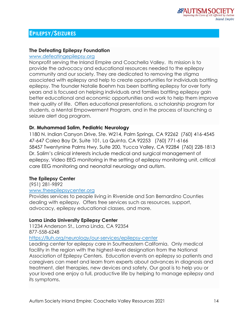# **EPILEPSY/SEIZURES**

#### **The Defeating Epilepsy Foundation**

#### [www.defeatingepilepsy.org](http://www.defeatingepilepsy.org/)

Nonprofit serving the Inland Empire and Coachella Valley. Its mission is to provide the advocacy and educational resources needed to the epilepsy community and our society. They are dedicated to removing the stigma associated with epilepsy and help to create opportunities for individuals battling epilepsy. The founder Natalie Boehm has been battling epilepsy for over forty years and is focused on helping individuals and families battling epilepsy gain better educational and economic opportunities and work to help them improve their quality of life. Offers educational presentations, a scholarship program for students, a Mental Empowerment Program, and in the process of launching a seizure alert dog program.

## **Dr. Muhammad Salim, Pediatric Neurology**

1180 N. Indian Canyon Drive, Ste. W214, Palm Springs, CA 92262 (760) 416-4545 47-647 Caleo Bay Dr, Suite 101, La Quinta, CA 92253 (760) 771-6166 58457 Twentynine Palms Hwy, Suite 200, Yucca Valley, CA 92284 (760) 228-1813 Dr. Salim's clinical interests include medical and surgical management of epilepsy, Video EEG monitoring in the setting of epilepsy monitoring unit, critical care EEG monitoring and neonatal neurology and autism.

#### **The Epilepsy Center**

(951) 281-9892

#### [www.theepilepsycenter.org](http://www.theepilepsycenter.org/)

Provides services to people living in Riverside and San Bernardino Counties dealing with epilepsy. Offers free services such as resources, support, advocacy, epilepsy educational classes, and more.

## **Loma Linda University Epilepsy Center**

11234 Anderson St., Loma Linda, CA 92354 877-558-6248

<https://lluh.org/neurology/our-services/epilepsy-center>

Leading center for epilepsy care in Southeastern California. Only medical facility in the region with the highest-level designation from the National Association of Epilepsy Centers. Education events on epilepsy so patients and caregivers can meet and learn from experts about advances in diagnosis and treatment, diet therapies, new devices and safety. Our goal is to help you or your loved one enjoy a full, productive life by helping to manage epilepsy and its symptoms.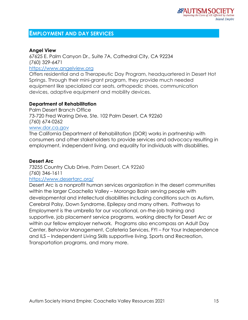# **EMPLOYMENT AND DAY SERVICES**

#### **Angel View**

67625 E. Palm Canyon Dr., Suite 7A, Cathedral City, CA 92234 [\(760\) 329-6471](tel:(760)%20329-6471) [https://www.angelview.org](https://www.angelview.org/)

Offers residential and a Therapeutic Day Program, headquartered in Desert Hot Springs. Through their mini-grant program, they provide much needed equipment like specialized car seats, orthopedic shoes, communication devices, adaptive equipment and mobility devices.

#### **Department of Rehabilitation**

Palm Desert Branch Office 73-720 Fred Waring Drive, Ste. 102 Palm Desert, CA 92260 (760) 674-0262 [www.dor.ca.gov](http://www.dor.ca.gov/)

The California Department of Rehabilitation (DOR) works in partnership with consumers and other stakeholders to provide services and advocacy resulting in employment, independent living, and equality for individuals with disabilities.

#### **Desert Arc**

73255 Country Club Drive, Palm Desert, CA 92260 (760) 346-1611 <https://www.desertarc.org/>

Desert Arc is a nonprofit human services organization in the desert communities within the larger Coachella Valley – Morongo Basin serving people with developmental and intellectual disabilities including conditions such as Autism, Cerebral Palsy, Down Syndrome, Epilepsy and many others. Pathways to Employment is the umbrella for our vocational, on-the-job training and supportive, job placement service programs, working directly for Desert Arc or within our fellow employer network. Programs also encompass an Adult Day Center, Behavior Management, Cafeteria Services, FYI – For Your Independence and ILS – Independent Living Skills supportive living, Sports and Recreation, Transportation programs, and many more.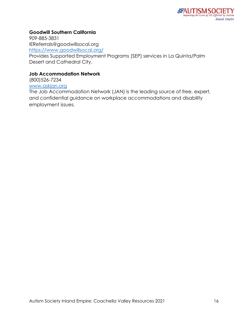# **Goodwill Southern California**

909-885-3831 IEReferrals@goodwillsocal.org <https://www.goodwillsocal.org/>

Provides Supported Employment Programs (SEP) services in La Quinta/Palm Desert and Cathedral City.

#### **Job Accommodation Network**

(800)526-7234

# [www.askjan.org](http://www.askjan.org/)

The Job Accommodation Network (JAN) is the leading source of free, expert, and confidential guidance on workplace accommodations and disability employment issues.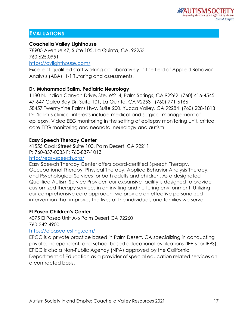# **EVALUATIONS**

# **Coachella Valley Lighthouse**

78900 Avenue 47, Suite 105, La Quinta, CA, 92253 760.625.0951

#### <https://cvlighthouse.com/>

Excellent qualified staff working collaboratively in the field of Applied Behavior Analysis (ABA), 1-1 Tutoring and assessments.

# **Dr. Muhammad Salim, Pediatric Neurology**

1180 N. Indian Canyon Drive, Ste. W214, Palm Springs, CA 92262 (760) 416-4545 47-647 Caleo Bay Dr, Suite 101, La Quinta, CA 92253 (760) 771-6166 58457 Twentynine Palms Hwy, Suite 200, Yucca Valley, CA 92284 (760) 228-1813 Dr. Salim's clinical interests include medical and surgical management of epilepsy, Video EEG monitoring in the setting of epilepsy monitoring unit, critical care EEG monitoring and neonatal neurology and autism.

# **Easy Speech Therapy Center**

41555 Cook Street Suite 100, Palm Desert, CA 92211 P: 760-837-0033 F: 760-837-1013

# <http://easyspeech.org/>

Easy Speech Therapy Center offers board-certified Speech Therapy, Occupational Therapy, Physical Therapy, Applied Behavior Analysis Therapy, and Psychological Services for both adults and children. As a designated Qualified Autism Service Provider, our expansive facility is designed to provide customized therapy services in an inviting and nurturing environment. Utilizing our comprehensive care approach, we provide an effective personalized intervention that improves the lives of the individuals and families we serve.

# **El Paseo Children's Center**

4075 El Paseo Unit A-6 Palm Desert CA 92260 760-342-4900

## <https://elpaseotesting.com/>

EPCC is a private practice based in Palm Desert, CA specializing in conducting private, independent, and school-based educational evaluations (IEE's for IEPS). EPCC is also a Non-Public Agency (NPA) approved by the California Department of Education as a provider of special education related services on a contracted basis.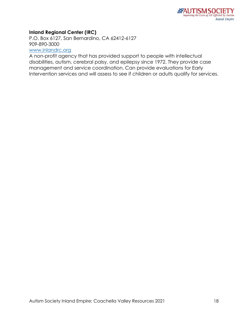# **Inland Regional Center (IRC)**

P.O. Box 6127, San Bernardino, CA 62412-6127 909-890-3000

# [www.inlandrc.org](http://www.inlandrc.org/)

A non-profit agency that has provided support to people with intellectual disabilities, autism, cerebral palsy, and epilepsy since 1972. They provide case management and service coordination. Can provide evaluations for Early Intervention services and will assess to see if children or adults qualify for services.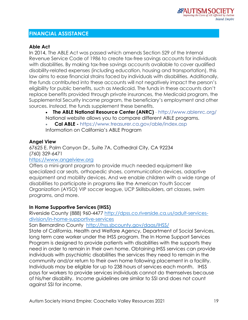# **FINANCIAL ASSISTANCE**

# **Able Act**

In 2014, The ABLE Act was passed which amends Section 529 of the Internal Revenue Service Code of 1986 to create tax-free savings accounts for individuals with disabilities. By making tax-free savings accounts available to cover qualified disability-related expenses (including education, housing and transportation), this law aims to ease financial strains faced by individuals with disabilities. Additionally, the funds contributed into these accounts will not negatively impact the person's eligibility for public benefits, such as Medicaid. The funds in these accounts don't replace benefits provided through private insurances, the Medicaid program, the Supplemental Security Income program, the beneficiary's employment and other sources. *Instead*, the funds supplement these benefits.

• **The ABLE National Resource Center (ANRC)** - <http://www.ablenrc.org/> National website allows you to compare different ABLE programs.

• **Cal ABLE -** <https://www.treasurer.ca.gov/able/index.asp> Information on California's ABLE Program

## **Angel View**

67625 E. Palm Canyon Dr., Suite 7A, Cathedral City, CA 92234 [\(760\) 329-6471](tel:(760)%20329-6471)

#### [https://www.angelview.org](https://www.angelview.org/)

Offers a mini-grant program to provide much needed equipment like specialized car seats, orthopedic shoes, communication devices, adaptive equipment and mobility devices. And we enable children with a wide range of disabilities to participate in programs like the American Youth Soccer Organization (AYSO) VIP soccer league, UCP Skillsbuilders, art classes, swim programs, and more.

## **In Home Supportive Services (IHSS)**

Riverside County (888) 960-4477 [http://dpss.co.riverside.ca.us/adult-services](http://dpss.co.riverside.ca.us/adult-services-division/in-home-supportive-services)[division/in-home-supportive-services](http://dpss.co.riverside.ca.us/adult-services-division/in-home-supportive-services)

San Bernardino County <http://hss.sbcounty.gov/daas/IHSS/>

State of California, Health and Welfare Agency, Department of Social Services, long term care worker under the IHSS program. The In Home Support Services Program is designed to provide patients with disabilities with the supports they need in order to remain in their own home. Obtaining IHSS services can provide individuals with psychiatric disabilities the services they need to remain in the community and/or return to their own home following placement in a facility. Individuals may be eligible for up to 238 hours of services each month. IHSS pays for workers to provide services individuals cannot do themselves because of his/her disability. Income guidelines are similar to SSI and does not count against SSI for income.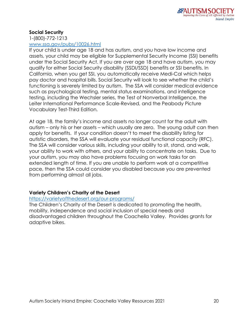# **Social Security**

1-(800)-772-1213 [www.ssa.gov/pubs/10026.html](http://www.ssa.gov/pubs/10026.html)

If your child is under age 18 and has autism, and you have low income and assets, your child may be eligible for Supplemental Security Income (SSI) benefits under the Social Security Act. If you are over age 18 and have autism, you may qualify for either Social Security disability (SSDI/SSD) benefits or SSI benefits. In California, when you get SSI, you automatically receive Medi-Cal which helps pay doctor and hospital bills. Social Security will look to see whether the child's functioning is severely limited by autism. The SSA will consider medical evidence such as psychological testing, mental status examinations, and intelligence testing, including the Wechsler series, the Test of Nonverbal Intelligence, the Leiter International Performance Scale-Revised, and the Peabody Picture Vocabulary Test-Third Edition.

At age 18, the family's income and assets no longer count for the adult with autism – only his or her assets – which usually are zero. The young adult can then apply for benefits. If your condition doesn't to meet the disability listing for autistic disorders, the SSA will evaluate your residual functional capacity (RFC). The SSA will consider various skills, including your ability to sit, stand, and walk, your ability to work with others, and your ability to concentrate on tasks. Due to your autism, you may also have problems focusing on work tasks for an extended length of time. If you are unable to perform work at a competitive pace, then the SSA could consider you disabled because you are prevented from performing almost all jobs.

# **Variety Children's Charity of the Desert**

## <https://varietyofthedesert.org/our-programs/>

The Children's Charity of the Desert is dedicated to promoting the health, mobility, independence and social inclusion of special needs and disadvantaged children throughout the Coachella Valley. Provides grants for adaptive bikes.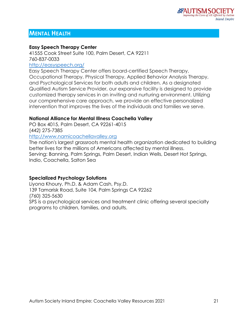# **MENTAL HEALTH**

#### **Easy Speech Therapy Center**

41555 Cook Street Suite 100, Palm Desert, CA 92211 760-837-0033 <http://easyspeech.org/>

Easy Speech Therapy Center offers board-certified Speech Therapy, Occupational Therapy, Physical Therapy, Applied Behavior Analysis Therapy, and Psychological Services for both adults and children. As a designated Qualified Autism Service Provider, our expansive facility is designed to provide customized therapy services in an inviting and nurturing environment. Utilizing our comprehensive care approach, we provide an effective personalized intervention that improves the lives of the individuals and families we serve.

## **National Alliance for Mental Illness Coachella Valley**

PO Box 4015, Palm Desert, CA 92261-4015 (442) 275-7385

[http://www.namicoachellavalley.org](http://www.namicoachellavalley.org/)

The nation's largest grassroots mental health organization dedicated to building better lives for the millions of Americans affected by mental illness. Serving: Banning, Palm Springs, Palm Desert, Indian Wells, Desert Hot Springs, Indio, Coachella, Salton Sea

## **Specialized Psychology Solutions**

Liyona Khoury, Ph.D. & Adam Cash, Psy.D. 139 Tamarisk Road, Suite 104, Palm Springs CA 92262 (760) 325-5630 SPS is a psychological services and treatment clinic offering several specialty programs to children, families, and adults.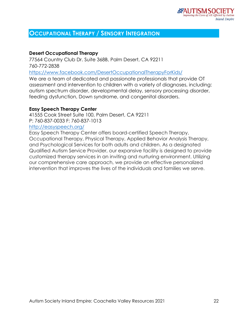# **OCCUPATIONAL THERAPY / SENSORY INTEGRATION**

## **Desert Occupational Therapy**

77564 Country Club Dr. Suite 368B, Palm Desert, CA 92211 760-772-2838

<https://www.facebook.com/DesertOccupationalTherapyForKids/>

We are a team of dedicated and passionate professionals that provide OT assessment and intervention to children with a variety of diagnoses, including: autism spectrum disorder, developmental delay, sensory processing disorder, feeding dysfunction, Down syndrome, and congenital disorders.

#### **Easy Speech Therapy Center**

41555 Cook Street Suite 100, Palm Desert, CA 92211 P: 760-837-0033 F: 760-837-1013

#### <http://easyspeech.org/>

Easy Speech Therapy Center offers board-certified Speech Therapy, Occupational Therapy, Physical Therapy, Applied Behavior Analysis Therapy, and Psychological Services for both adults and children. As a designated Qualified Autism Service Provider, our expansive facility is designed to provide customized therapy services in an inviting and nurturing environment. Utilizing our comprehensive care approach, we provide an effective personalized intervention that improves the lives of the individuals and families we serve.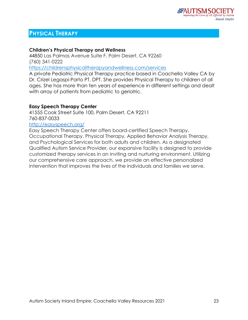# **PHYSICAL THERAPY**

# **Children's Physical Therapy and Wellness**

44850 Las Palmas Avenue Suite F, Palm Desert, CA 92260 [\(760\) 341-0222](tel:7603410222)

<https://childrensphysicaltherapyandwellness.com/services>

A private Pediatric Physical Therapy practice based in Coachella Valley CA by Dr. Crizel Legaspi-Parto PT, DPT. She provides Physical Therapy to children of all ages. She has more than ten years of experience in different settings and dealt with array of patients from pediatric to geriatric.

# **Easy Speech Therapy Center**

41555 Cook Street Suite 100, Palm Desert, CA 92211 760-837-0033

## <http://easyspeech.org/>

Easy Speech Therapy Center offers board-certified Speech Therapy, Occupational Therapy, Physical Therapy, Applied Behavior Analysis Therapy, and Psychological Services for both adults and children. As a designated Qualified Autism Service Provider, our expansive facility is designed to provide customized therapy services in an inviting and nurturing environment. Utilizing our comprehensive care approach, we provide an effective personalized intervention that improves the lives of the individuals and families we serve.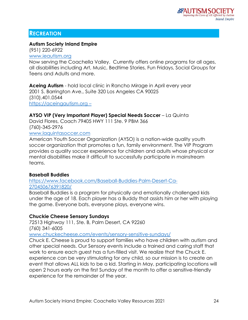# **RECREATION**

## **Autism Society Inland Empire**

(951) 220-6922 [www.ieautism.org](http://www.ieautism.org/)

Now serving the Coachella Valley. Currently offers online programs for all ages, all disabilities including Art, Music, Bedtime Stories, Fun Fridays, Social Groups for Teens and Adults and more.

**Aceing Autism** - hold local clinic in Rancho Mirage in April every year 2001 S. Barrington Ave., Suite 320 Los Angeles CA 90025 (310).401.0544 https://aceingautism.org –

## **AYSO VIP (Very Important Player) Special Needs Soccer** – La Quinta

David Flores, Coach 79405 HWY 111 Ste. 9 PBM 366 (760)-345-2976

[www.laquintasoccer.com](http://www.laquintasoccer.com/)

American Youth Soccer Organization (AYSO) is a nation-wide quality youth soccer organization that promotes a fun, family environment. The VIP Program provides a quality soccer experience for children and adults whose physical or mental disabilities make it difficult to successfully participate in mainstream teams.

## **Baseball Buddies**

[https://www.facebook.com/Baseball-Buddies-Palm-Desert-Ca-](https://www.facebook.com/Baseball-Buddies-Palm-Desert-Ca-270450676391820/)[270450676391820/](https://www.facebook.com/Baseball-Buddies-Palm-Desert-Ca-270450676391820/)

Baseball Buddies is a program for physically and emotionally challenged kids under the age of 18. Each player has a Buddy that assists him or her with playing the game. Everyone bats, everyone plays, everyone wins.

## **Chuckie Cheese Sensory Sundays**

72513 Highway 111, Ste. B, Palm Desert, CA 92260 (760) 341-6005

[www.chuckecheese.com/events/sensory-sensitive-sundays/](http://www.chuckecheese.com/events/sensory-sensitive-sundays/)

Chuck E. Cheese is proud to support families who have children with autism and other special needs. Our Sensory events include a trained and caring staff that work to ensure each guest has a fun-filled visit. We realize that the Chuck E. experience can be very stimulating for any child, so our mission is to create an event that allows ALL kids to be a kid. Starting in May, participating locations will open 2 hours early on the first Sunday of the month to offer a sensitive-friendly experience for the remainder of the year.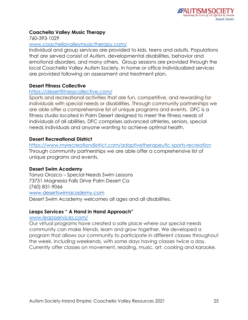# **Coachella Valley Music Therapy**

760-393-1029

#### [www.coachellavalleymusictherapy.com/](http://www.coachellavalleymusictherapy.com/)

Individual and group services are provided to kids, teens and adults. Populations that are served consist of Autism, developmental disabilities, behavior and emotional disorders, and many others. Group sessions are provided through the local Coachella Valley Autism Society. In home or office individualized services are provided following an assessment and treatment plan.

## **Desert Fitness Collective**

## <https://desertfitnesscollective.com/>

Sports and recreational activities that are fun, competitive, and rewarding for individuals with special needs or disabilities. Through community partnerships we are able offer a comprehensive list of unique programs and events. DFC is a fitness studio located in Palm Desert designed to meet the fitness needs of individuals of all abilities. DFC comprises advanced athletes, seniors, special needs individuals and anyone wanting to achieve optimal health.

# **Desert Recreational District**

<https://www.myrecreationdistrict.com/adaptivetherapeutic-sports-recreation> Through community partnerships we are able offer a comprehensive list of unique programs and events.

## **Desert Swim Academy**

Tanya Orozco – Special Needs Swim Lessons 73751 Magnesia Falls Drive Palm Desert Ca (760) 831-9066 [www.desertswimacademy.com](http://www.desertswimacademy.com/)

Desert Swim Academy welcomes all ages and all disabilities.

# **Leaps Services " A Hand in Hand Approach"**

## [www.leapsservices.com/](http://www.leapsservices.com/)

Our virtual programs have created a safe place where our special needs community can make friends, learn and grow together. We developed a program that allows our community to participate in different classes throughout the week, including weekends, with some days having classes twice a day. Currently offer classes on movement, reading, music, art, cooking and karaoke.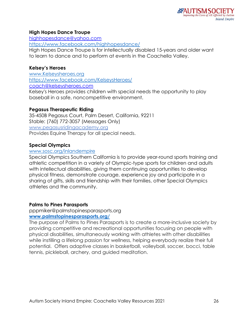## **High Hopes Dance Troupe**

[highhopesdance@yahoo.com](mailto:highhopesdance@yahoo.com) <https://www.facebook.com/highhopesdance/>

High Hopes Dance Troupe is for intellectually disabled 15-years and older want to learn to dance and to perform at events in the Coachella Valley.

# **Kelsey's Heroes**

[www.Kelseysheroes.org](http://www.kelseysheroes.org/) <https://www.facebook.com/KelseysHeroes/> [coach@kelseysheroes.com](mailto:coach@kelseysheroes.com) Kelsey's Heroes provides children with special needs the opportunity to play baseball in a safe, noncompetitive environment.

# **Pegasus Therapeutic Riding**

35-450B Pegasus Court, Palm Desert, California, 92211 Stable: [\(760\) 772-3057](tel:(760)%20772-3057) (Messages Only) [www.pegasusridingacademy.org](http://www.pegasusridingacademy.org/) Provides Equine Therapy for all special needs.

# **Special Olympics**

#### [www.sosc.org/inlandempire](http://www.sosc.org/inlandempire)

Special Olympics Southern California is to provide year-round sports training and athletic competition in a variety of Olympic-type sports for children and adults with intellectual disabilities, giving them continuing opportunities to develop physical fitness, demonstrate courage, experience joy and participate in a sharing of gifts, skills and friendship with their families, other Special Olympics athletes and the community.

## **Palms to Pines Parasports**

#### pppmiker@palmstopinesparasports.org **[www.palmstopinesparasports.org/](http://www.palmstopinesparasports.org/)**

The purpose of Palms to Pines Parasports is to create a more-inclusive society by providing competitive and recreational opportunities focusing on people with physical disabilities, simultaneously working with athletes with other disabilities while instilling a lifelong passion for wellness, helping everybody realize their full potential. Offers adaptive classes in basketball, volleyball, soccer, bocci, table tennis, pickleball, archery, and guided meditation.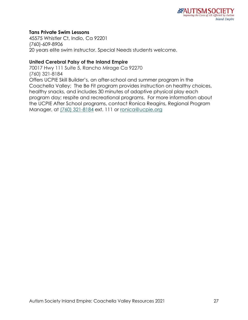## **Tans Private Swim Lessons**

45575 Whistler Ct, Indio, Ca 92201 (760)-609-8906 20 years elite swim instructor. Special Needs students welcome.

#### **United Cerebral Palsy of the Inland Empire**

70017 Hwy 111 Suite 5, Rancho Mirage Ca 92270 [\(760\) 321-8184](tel:(760)%20321-8184) Offers UCPIE Skill Builder's, an after-school and summer program in the Coachella Valley; The Be Fit program provides instruction on healthy choices, healthy snacks, and includes 30 minutes of adaptive physical play each program day; respite and recreational programs. For more information about the UCPIE After School programs, contact Ronica Reagins, Regional Program Manager, at [\(760\) 321-8184](tel:(760)%20321-8184) ext. 111 or [ronica@ucpie.org](mailto:ronica@ucpie.org)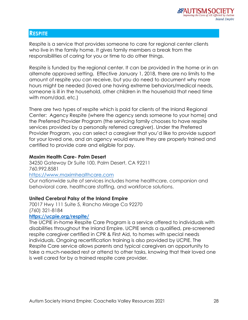# **RESPITE**

Respite is a service that provides someone to care for regional center clients who live in the family home. It gives family members a break from the responsibilities of caring for you or time to do other things.

Respite is funded by the regional center. It can be provided in the home or in an alternate approved setting. Effective January 1, 2018, there are no limits to the amount of respite you can receive, but you do need to document why more hours might be needed (loved one having extreme behaviors/medical needs, someone is ill in the household, other children in the household that need time with mom/dad, etc.)

There are two types of respite which is paid for clients of the Inland Regional Center: Agency Respite (where the agency sends someone to your home) and the Preferred Provider Program (the servicing family chooses to have respite services provided by a personally referred caregiver). Under the Preferred Provider Program, you can select a caregiver that you'd like to provide support for your loved one, and an agency would ensure they are properly trained and certified to provide care and eligible for pay.

# **Maxim Health Care- Palm Desert**

34250 Gateway Dr Suite 100, Palm Desert, CA 92211 760.992.8581 [https://www.maximhealthcare.com](https://www.maximhealthcare.com/)

Our nationwide suite of services includes home healthcare, companion and behavioral care, healthcare staffing, and workforce solutions.

# **United Cerebral Palsy of the Inland Empire**

70017 Hwy 111 Suite 5, Rancho Mirage Ca 92270 [\(760\) 321-8184](tel:(760)%20321-8184)

## **<https://ucpie.org/respite/>**

The UCPIE in-home Respite Care Program is a service offered to individuals with disabilities throughout the Inland Empire. UCPIE sends a qualified, pre-screened respite caregiver certified in CPR & First Aid, to homes with special needs individuals. Ongoing recertification training is also provided by UCPIE. The Respite Care service allows parents and typical caregivers an opportunity to take a much-needed rest or attend to other tasks, knowing that their loved one is well cared for by a trained respite care provider.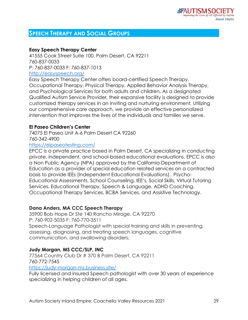# **SPEECH THERAPY AND SOCIAL GROUPS**

# **Easy Speech Therapy Center**

41555 Cook Street Suite 100, Palm Desert, CA 92211 760-837-0033 P: 760-837-0033 F: 760-837-1013 <http://easyspeech.org/> Easy Speech Therapy Center offers board-certified Speech Therapy,

Occupational Therapy, Physical Therapy, Applied Behavior Analysis Therapy, and Psychological Services for both adults and children. As a designated Qualified Autism Service Provider, their expansive facility is designed to provide customized therapy services in an inviting and nurturing environment. Utilizing our comprehensive care approach, we provide an effective personalized intervention that improves the lives of the individuals and families we serve.

## **El Paseo Children's Center**

74075 El Paseo Unit A-6 Palm Desert CA 92260 760-342-4900

<https://elpaseotesting.com/>

EPCC is a private practice based in Palm Desert, CA specializing in conducting private, independent, and school-based educational evaluations. EPCC is also a Non Public Agency (NPA) approved by the California Department of Education as a provider of special education related services on a contracted basis to provide IEEs (Independent Educational Evaluations). Psycho-Educational Assessments, School Counseling, IEE's, Social Skills, Virtual Tutoring Services, Educational Therapy, Speech & Language, ADHD Coaching, Occupational Therapy Services, BCBA Services, and Assistive Technology.

## **Dana Anders, MA CCC Speech Therapy**

35900 Bob Hope Dr Ste 140 Rancho Mirage, CA 92270 P: 760-902-5035 F: 760-770-3511 Speech-Language Pathologist with special training and skills in preventing, assessing, diagnosing, and treating speech languages, cognitive communication, and swallowing disorders.

## **Judy Morgan, MS CCC/SLP, INC**

77564 Country Club Dr # 370 B Palm Desert, CA 92211 760-772-7545 <https://judy-morgan-ms.business.site/>

Fully licensed and insured Speech pathologist with over 30 years of experience specializing in helping children of all ages.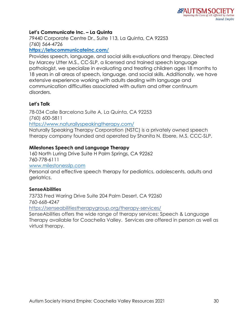# **Let's Communicate Inc. – La Quinta**

79440 Corporate Centre Dr., Suite 113, La Quinta, CA 92253 (760) 564-4726

## **<https://letscommunicateinc.com/>**

Provides speech, language, and social skills evaluations and therapy. Directed by Marcey Utter M.S., CC-SLP, a licensed and trained speech language pathologist, we specialize in evaluating and treating children ages 18 months to 18 years in all areas of speech, language, and social skills. Additionally, we have extensive experience working with adults dealing with language and communication difficulties associated with autism and other continuum disorders.

# **Let's Talk**

78-034 Calle Barcelona Suite A, La Quinta, CA 92253 [\(760\) 600-5811](https://www.google.com/search?client=safari&hl=en-us&tbm=lcl&q=Desert+Premier+Speech+Therapy&rflfq=1&num=20&stick=H4sIAAAAAAAAAB2QTUoDQRCFyUJxP-JiQJgj1P_P3gME9AJBWiJEEiZuvI4n8Fyewjf2quurrnrv9d3tPLWZBbcQU7S7tvcGK9mMiyKLI3EAVdqB29pZWT0AmXFpURc3o9IUmycvbA2paGaysuqYJ83Q7ACJUDHC5HzPlNTskluZLJwGeVcFKwg0SWtRYml5ubFuprzLYNkxn2VeZt5p7k6kZKBaWZIVXBLuwmEK6kZh5UIdCVdimhslrkBF5CokRd2gotaZGsTYCDeaPE8mIlDpYkFfkbb-nwbchlDi07DUbaPRhmQZJR1Eopy0GeN0cnOG_agIT52nCMRoZGWDuqV7_Ox2v7uH_ThfTmM5nK7n5ToO6-txeTuv3zePT-M61s9lv46P97Euz5cx0Hs5jvVw-foDX43Bw9YBAAA&sa=X&ved=2ahUKEwi9sqzc9InxAhWYv54KHU7HBqwQ63UoATAnegQIKBAC&biw=1366&bih=985&dpr=2)

<https://www.naturallyspeakingtherapy.com/>

Naturally Speaking Therapy Corporation (NSTC) is a privately owned speech therapy company founded and operated by Shanita N. Ebere, M.S. CCC-SLP.

## **Milestones Speech and Language Therapy**

160 North Luring Drive Suite H Palm Springs, CA 92262 760-778-6111 [www.milestonesslp.com](http://www.milestonesslp.com/) Personal and effective speech therapy for pediatrics, adolescents, adults and geriatrics.

## **SenseAbilities**

73733 Fred Waring Drive Suite 204 Palm Desert, CA 92260 760-668-4247 <https://senseabilitiestherapygroup.org/therapy-services/> SenseAbilities offers the wide range of therapy services: Speech & Language Therapy available for Coachella Valley. Services are offered in person as well as virtual therapy.